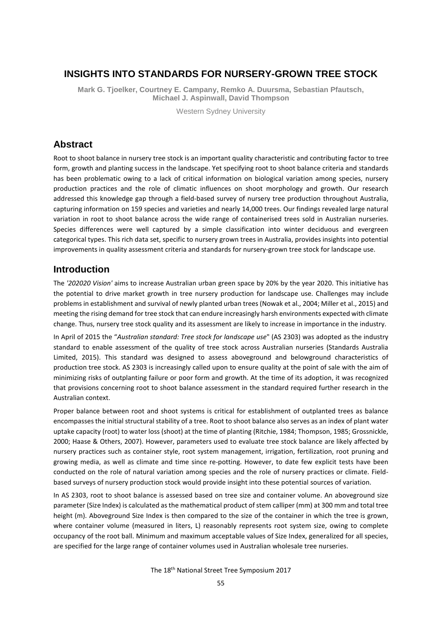## **INSIGHTS INTO STANDARDS FOR NURSERY-GROWN TREE STOCK**

**Mark G. Tjoelker, Courtney E. Campany, Remko A. Duursma, Sebastian Pfautsch, Michael J. Aspinwall, David Thompson**

Western Sydney University

## **Abstract**

Root to shoot balance in nursery tree stock is an important quality characteristic and contributing factor to tree form, growth and planting success in the landscape. Yet specifying root to shoot balance criteria and standards has been problematic owing to a lack of critical information on biological variation among species, nursery production practices and the role of climatic influences on shoot morphology and growth. Our research addressed this knowledge gap through a field-based survey of nursery tree production throughout Australia, capturing information on 159 species and varieties and nearly 14,000 trees. Our findings revealed large natural variation in root to shoot balance across the wide range of containerised trees sold in Australian nurseries. Species differences were well captured by a simple classification into winter deciduous and evergreen categorical types. This rich data set, specific to nursery grown trees in Australia, provides insights into potential improvements in quality assessment criteria and standards for nursery-grown tree stock for landscape use.

### **Introduction**

The *'202020 Vision'* aims to increase Australian urban green space by 20% by the year 2020. This initiative has the potential to drive market growth in tree nursery production for landscape use. Challenges may include problems in establishment and survival of newly planted urban trees (Nowak et al., 2004; Miller et al., 2015) and meeting the rising demand for tree stock that can endure increasingly harsh environments expected with climate change. Thus, nursery tree stock quality and its assessment are likely to increase in importance in the industry.

In April of 2015 the "*Australian standard: Tree stock for landscape use*" (AS 2303) was adopted as the industry standard to enable assessment of the quality of tree stock across Australian nurseries (Standards Australia Limited, 2015). This standard was designed to assess aboveground and belowground characteristics of production tree stock. AS 2303 is increasingly called upon to ensure quality at the point of sale with the aim of minimizing risks of outplanting failure or poor form and growth. At the time of its adoption, it was recognized that provisions concerning root to shoot balance assessment in the standard required further research in the Australian context.

Proper balance between root and shoot systems is critical for establishment of outplanted trees as balance encompasses the initial structural stability of a tree. Root to shoot balance also serves as an index of plant water uptake capacity (root) to water loss (shoot) at the time of planting (Ritchie, 1984; Thompson, 1985; Grossnickle, 2000; Haase & Others, 2007). However, parameters used to evaluate tree stock balance are likely affected by nursery practices such as container style, root system management, irrigation, fertilization, root pruning and growing media, as well as climate and time since re-potting. However, to date few explicit tests have been conducted on the role of natural variation among species and the role of nursery practices or climate. Fieldbased surveys of nursery production stock would provide insight into these potential sources of variation.

In AS 2303, root to shoot balance is assessed based on tree size and container volume. An aboveground size parameter (Size Index) is calculated as the mathematical product of stem calliper (mm) at 300 mm and total tree height (m). Aboveground Size Index is then compared to the size of the container in which the tree is grown, where container volume (measured in liters, L) reasonably represents root system size, owing to complete occupancy of the root ball. Minimum and maximum acceptable values of Size Index, generalized for all species, are specified for the large range of container volumes used in Australian wholesale tree nurseries.

The 18th National Street Tree Symposium 2017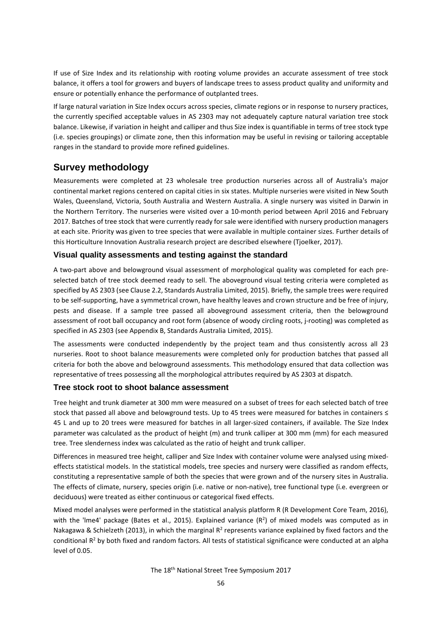If use of Size Index and its relationship with rooting volume provides an accurate assessment of tree stock balance, it offers a tool for growers and buyers of landscape trees to assess product quality and uniformity and ensure or potentially enhance the performance of outplanted trees.

If large natural variation in Size Index occurs across species, climate regions or in response to nursery practices, the currently specified acceptable values in AS 2303 may not adequately capture natural variation tree stock balance. Likewise, if variation in height and calliper and thus Size index is quantifiable in terms of tree stock type (i.e. species groupings) or climate zone, then this information may be useful in revising or tailoring acceptable ranges in the standard to provide more refined guidelines.

## **Survey methodology**

Measurements were completed at 23 wholesale tree production nurseries across all of Australia's major continental market regions centered on capital cities in six states. Multiple nurseries were visited in New South Wales, Queensland, Victoria, South Australia and Western Australia. A single nursery was visited in Darwin in the Northern Territory. The nurseries were visited over a 10-month period between April 2016 and February 2017. Batches of tree stock that were currently ready for sale were identified with nursery production managers at each site. Priority was given to tree species that were available in multiple container sizes. Further details of this Horticulture Innovation Australia research project are described elsewhere (Tjoelker, 2017).

### **Visual quality assessments and testing against the standard**

A two-part above and belowground visual assessment of morphological quality was completed for each preselected batch of tree stock deemed ready to sell. The aboveground visual testing criteria were completed as specified by AS 2303 (see Clause 2.2, Standards Australia Limited, 2015). Briefly, the sample trees were required to be self-supporting, have a symmetrical crown, have healthy leaves and crown structure and be free of injury, pests and disease. If a sample tree passed all aboveground assessment criteria, then the belowground assessment of root ball occupancy and root form (absence of woody circling roots, j-rooting) was completed as specified in AS 2303 (see Appendix B, Standards Australia Limited, 2015).

The assessments were conducted independently by the project team and thus consistently across all 23 nurseries. Root to shoot balance measurements were completed only for production batches that passed all criteria for both the above and belowground assessments. This methodology ensured that data collection was representative of trees possessing all the morphological attributes required by AS 2303 at dispatch.

#### **Tree stock root to shoot balance assessment**

Tree height and trunk diameter at 300 mm were measured on a subset of trees for each selected batch of tree stock that passed all above and belowground tests. Up to 45 trees were measured for batches in containers ≤ 45 L and up to 20 trees were measured for batches in all larger-sized containers, if available. The Size Index parameter was calculated as the product of height (m) and trunk calliper at 300 mm (mm) for each measured tree. Tree slenderness index was calculated as the ratio of height and trunk calliper.

Differences in measured tree height, calliper and Size Index with container volume were analysed using mixedeffects statistical models. In the statistical models, tree species and nursery were classified as random effects, constituting a representative sample of both the species that were grown and of the nursery sites in Australia. The effects of climate, nursery, species origin (i.e. native or non-native), tree functional type (i.e. evergreen or deciduous) were treated as either continuous or categorical fixed effects.

Mixed model analyses were performed in the statistical analysis platform R (R Development Core Team, 2016), with the 'Ime4' package (Bates et al., 2015). Explained variance  $(R^2)$  of mixed models was computed as in Nakagawa & Schielzeth (2013), in which the marginal R<sup>2</sup> represents variance explained by fixed factors and the conditional  $R^2$  by both fixed and random factors. All tests of statistical significance were conducted at an alpha level of 0.05.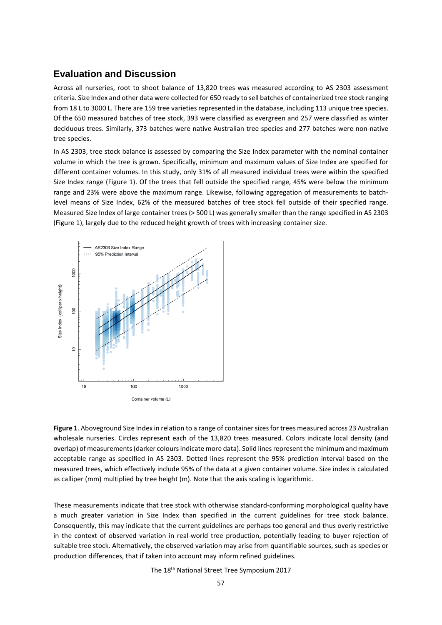### **Evaluation and Discussion**

Across all nurseries, root to shoot balance of 13,820 trees was measured according to AS 2303 assessment criteria. Size Index and other data were collected for 650 ready to sell batches of containerized tree stock ranging from 18 L to 3000 L. There are 159 tree varieties represented in the database, including 113 unique tree species. Of the 650 measured batches of tree stock, 393 were classified as evergreen and 257 were classified as winter deciduous trees. Similarly, 373 batches were native Australian tree species and 277 batches were non-native tree species.

In AS 2303, tree stock balance is assessed by comparing the Size Index parameter with the nominal container volume in which the tree is grown. Specifically, minimum and maximum values of Size Index are specified for different container volumes. In this study, only 31% of all measured individual trees were within the specified Size Index range (Figure 1). Of the trees that fell outside the specified range, 45% were below the minimum range and 23% were above the maximum range. Likewise, following aggregation of measurements to batchlevel means of Size Index, 62% of the measured batches of tree stock fell outside of their specified range. Measured Size Index of large container trees (> 500 L) was generally smaller than the range specified in AS 2303 (Figure 1), largely due to the reduced height growth of trees with increasing container size.



**Figure 1**. Aboveground Size Index in relation to a range of container sizes for trees measured across 23 Australian wholesale nurseries. Circles represent each of the 13,820 trees measured. Colors indicate local density (and overlap) of measurements (darker colours indicate more data). Solid lines represent the minimum and maximum acceptable range as specified in AS 2303. Dotted lines represent the 95% prediction interval based on the measured trees, which effectively include 95% of the data at a given container volume. Size index is calculated as calliper (mm) multiplied by tree height (m). Note that the axis scaling is logarithmic.

These measurements indicate that tree stock with otherwise standard-conforming morphological quality have a much greater variation in Size Index than specified in the current guidelines for tree stock balance. Consequently, this may indicate that the current guidelines are perhaps too general and thus overly restrictive in the context of observed variation in real-world tree production, potentially leading to buyer rejection of suitable tree stock. Alternatively, the observed variation may arise from quantifiable sources, such as species or production differences, that if taken into account may inform refined guidelines.

The 18th National Street Tree Symposium 2017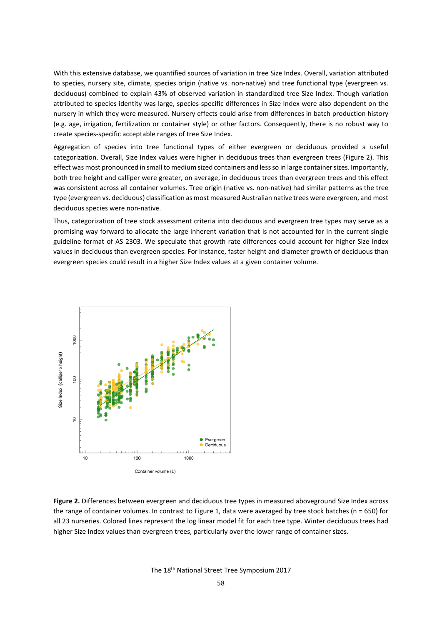With this extensive database, we quantified sources of variation in tree Size Index. Overall, variation attributed to species, nursery site, climate, species origin (native vs. non-native) and tree functional type (evergreen vs. deciduous) combined to explain 43% of observed variation in standardized tree Size Index. Though variation attributed to species identity was large, species-specific differences in Size Index were also dependent on the nursery in which they were measured. Nursery effects could arise from differences in batch production history (e.g. age, irrigation, fertilization or container style) or other factors. Consequently, there is no robust way to create species-specific acceptable ranges of tree Size Index.

Aggregation of species into tree functional types of either evergreen or deciduous provided a useful categorization. Overall, Size Index values were higher in deciduous trees than evergreen trees (Figure 2). This effect was most pronounced in small to medium sized containers and less so in large container sizes. Importantly, both tree height and calliper were greater, on average, in deciduous trees than evergreen trees and this effect was consistent across all container volumes. Tree origin (native vs. non-native) had similar patterns as the tree type (evergreen vs. deciduous) classification as most measured Australian native trees were evergreen, and most deciduous species were non-native.

Thus, categorization of tree stock assessment criteria into deciduous and evergreen tree types may serve as a promising way forward to allocate the large inherent variation that is not accounted for in the current single guideline format of AS 2303. We speculate that growth rate differences could account for higher Size Index values in deciduous than evergreen species. For instance, faster height and diameter growth of deciduous than evergreen species could result in a higher Size Index values at a given container volume.



**Figure 2.** Differences between evergreen and deciduous tree types in measured aboveground Size Index across the range of container volumes. In contrast to Figure 1, data were averaged by tree stock batches ( $n = 650$ ) for all 23 nurseries. Colored lines represent the log linear model fit for each tree type. Winter deciduous trees had higher Size Index values than evergreen trees, particularly over the lower range of container sizes.

The 18th National Street Tree Symposium 2017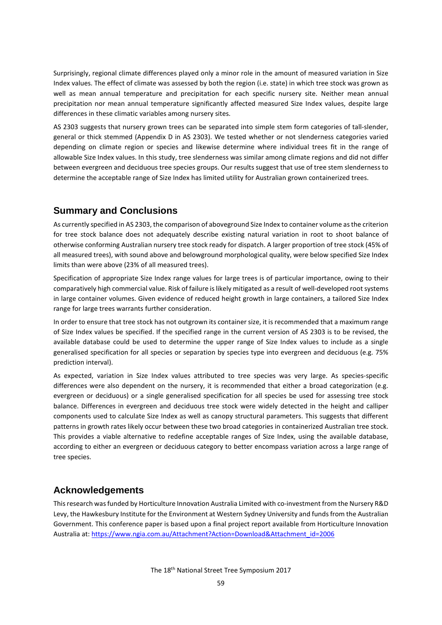Surprisingly, regional climate differences played only a minor role in the amount of measured variation in Size Index values. The effect of climate was assessed by both the region (i.e. state) in which tree stock was grown as well as mean annual temperature and precipitation for each specific nursery site. Neither mean annual precipitation nor mean annual temperature significantly affected measured Size Index values, despite large differences in these climatic variables among nursery sites.

AS 2303 suggests that nursery grown trees can be separated into simple stem form categories of tall-slender, general or thick stemmed (Appendix D in AS 2303). We tested whether or not slenderness categories varied depending on climate region or species and likewise determine where individual trees fit in the range of allowable Size Index values. In this study, tree slenderness was similar among climate regions and did not differ between evergreen and deciduous tree species groups. Our results suggest that use of tree stem slenderness to determine the acceptable range of Size Index has limited utility for Australian grown containerized trees.

## **Summary and Conclusions**

As currently specified in AS 2303, the comparison of aboveground Size Index to container volume as the criterion for tree stock balance does not adequately describe existing natural variation in root to shoot balance of otherwise conforming Australian nursery tree stock ready for dispatch. A larger proportion of tree stock (45% of all measured trees), with sound above and belowground morphological quality, were below specified Size Index limits than were above (23% of all measured trees).

Specification of appropriate Size Index range values for large trees is of particular importance, owing to their comparatively high commercial value. Risk of failure is likely mitigated as a result of well-developed root systems in large container volumes. Given evidence of reduced height growth in large containers, a tailored Size Index range for large trees warrants further consideration.

In order to ensure that tree stock has not outgrown its container size, it is recommended that a maximum range of Size Index values be specified. If the specified range in the current version of AS 2303 is to be revised, the available database could be used to determine the upper range of Size Index values to include as a single generalised specification for all species or separation by species type into evergreen and deciduous (e.g. 75% prediction interval).

As expected, variation in Size Index values attributed to tree species was very large. As species-specific differences were also dependent on the nursery, it is recommended that either a broad categorization (e.g. evergreen or deciduous) or a single generalised specification for all species be used for assessing tree stock balance. Differences in evergreen and deciduous tree stock were widely detected in the height and calliper components used to calculate Size Index as well as canopy structural parameters. This suggests that different patterns in growth rates likely occur between these two broad categories in containerized Australian tree stock. This provides a viable alternative to redefine acceptable ranges of Size Index, using the available database, according to either an evergreen or deciduous category to better encompass variation across a large range of tree species.

# **Acknowledgements**

This research was funded by Horticulture Innovation Australia Limited with co-investment from the Nursery R&D Levy, the Hawkesbury Institute for the Environment at Western Sydney University and funds from the Australian Government. This conference paper is based upon a final project report available from Horticulture Innovation Australia at: [https://www.ngia.com.au/Attachment?Action=Download&Attachment\\_id=2006](https://www.ngia.com.au/Attachment?Action=Download&Attachment_id=2006)